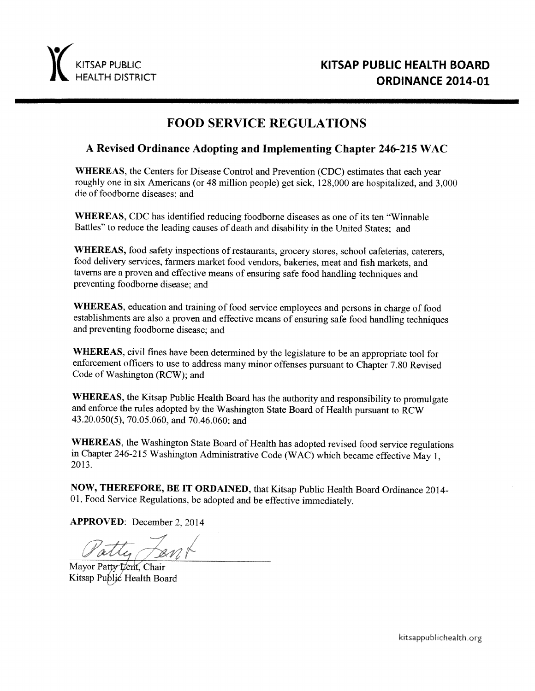

# **FOOD SERVICE REGULATIONS**

### A Revised Ordinance Adopting and Implementing Chapter 246-215 WAC

**WHEREAS**, the Centers for Disease Control and Prevention (CDC) estimates that each year roughly one in six Americans (or 48 million people) get sick, 128,000 are hospitalized, and 3,000 die of foodborne diseases: and

**WHEREAS, CDC** has identified reducing foodborne diseases as one of its ten "Winnable" Battles" to reduce the leading causes of death and disability in the United States; and

WHEREAS, food safety inspections of restaurants, grocery stores, school cafeterias, caterers, food delivery services, farmers market food vendors, bakeries, meat and fish markets, and taverns are a proven and effective means of ensuring safe food handling techniques and preventing foodborne disease; and

WHEREAS, education and training of food service employees and persons in charge of food establishments are also a proven and effective means of ensuring safe food handling techniques and preventing foodborne disease; and

WHEREAS, civil fines have been determined by the legislature to be an appropriate tool for enforcement officers to use to address many minor offenses pursuant to Chapter 7.80 Revised Code of Washington (RCW); and

WHEREAS, the Kitsap Public Health Board has the authority and responsibility to promulgate and enforce the rules adopted by the Washington State Board of Health pursuant to RCW 43.20.050(5), 70.05.060, and 70.46.060; and

WHEREAS, the Washington State Board of Health has adopted revised food service regulations in Chapter 246-215 Washington Administrative Code (WAC) which became effective May 1, 2013.

NOW, THEREFORE, BE IT ORDAINED, that Kitsap Public Health Board Ordinance 2014-01, Food Service Regulations, be adopted and be effective immediately.

**APPROVED:** December 2, 2014

atty fant

Mayor Patty Lent, Chair Kitsap Public Health Board

kitsappublichealth.org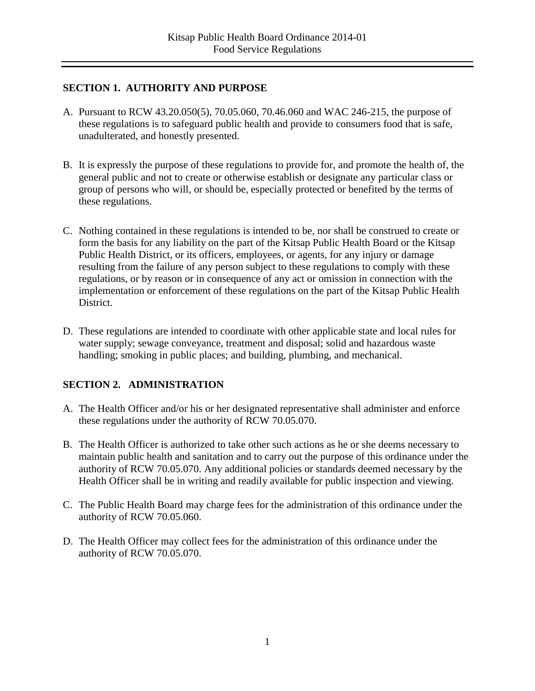## **SECTION 1. AUTHORITY AND PURPOSE**

- A. Pursuant to RCW 43.20.050(5), 70.05.060, 70.46.060 and WAC 246-215, the purpose of these regulations is to safeguard public health and provide to consumers food that is safe, unadulterated, and honestly presented.
- B. It is expressly the purpose of these regulations to provide for, and promote the health of, the general public and not to create or otherwise establish or designate any particular class or group of persons who will, or should be, especially protected or benefited by the terms of these regulations.
- C. Nothing contained in these regulations is intended to be, nor shall be construed to create or form the basis for any liability on the part of the Kitsap Public Health Board or the Kitsap Public Health District, or its officers, employees, or agents, for any injury or damage resulting from the failure of any person subject to these regulations to comply with these regulations, or by reason or in consequence of any act or omission in connection with the implementation or enforcement of these regulations on the part of the Kitsap Public Health District.
- D. These regulations are intended to coordinate with other applicable state and local rules for water supply; sewage conveyance, treatment and disposal; solid and hazardous waste handling; smoking in public places; and building, plumbing, and mechanical.

# **SECTION 2. ADMINISTRATION**

- A. The Health Officer and/or his or her designated representative shall administer and enforce these regulations under the authority of RCW 70.05.070.
- B. The Health Officer is authorized to take other such actions as he or she deems necessary to maintain public health and sanitation and to carry out the purpose of this ordinance under the authority of RCW 70.05.070. Any additional policies or standards deemed necessary by the Health Officer shall be in writing and readily available for public inspection and viewing.
- C. The Public Health Board may charge fees for the administration of this ordinance under the authority of RCW 70.05.060.
- D. The Health Officer may collect fees for the administration of this ordinance under the authority of RCW 70.05.070.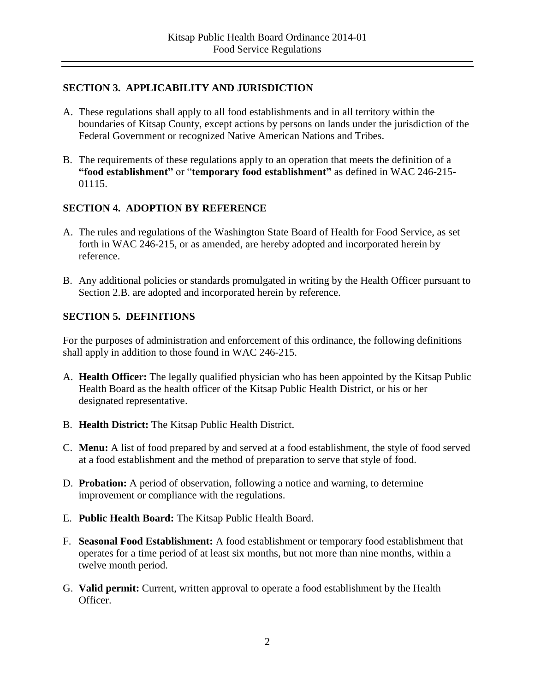### **SECTION 3. APPLICABILITY AND JURISDICTION**

- A. These regulations shall apply to all food establishments and in all territory within the boundaries of Kitsap County, except actions by persons on lands under the jurisdiction of the Federal Government or recognized Native American Nations and Tribes.
- B. The requirements of these regulations apply to an operation that meets the definition of a **"food establishment"** or "**temporary food establishment"** as defined in WAC 246-215- 01115.

## **SECTION 4. ADOPTION BY REFERENCE**

- A. The rules and regulations of the Washington State Board of Health for Food Service, as set forth in WAC 246-215, or as amended, are hereby adopted and incorporated herein by reference.
- B. Any additional policies or standards promulgated in writing by the Health Officer pursuant to Section 2.B. are adopted and incorporated herein by reference.

## **SECTION 5. DEFINITIONS**

For the purposes of administration and enforcement of this ordinance, the following definitions shall apply in addition to those found in WAC 246-215.

- A. **Health Officer:** The legally qualified physician who has been appointed by the Kitsap Public Health Board as the health officer of the Kitsap Public Health District, or his or her designated representative.
- B. **Health District:** The Kitsap Public Health District.
- C. **Menu:** A list of food prepared by and served at a food establishment, the style of food served at a food establishment and the method of preparation to serve that style of food.
- D. **Probation:** A period of observation, following a notice and warning, to determine improvement or compliance with the regulations.
- E. **Public Health Board:** The Kitsap Public Health Board.
- F. **Seasonal Food Establishment:** A food establishment or temporary food establishment that operates for a time period of at least six months, but not more than nine months, within a twelve month period.
- G. **Valid permit:** Current, written approval to operate a food establishment by the Health Officer.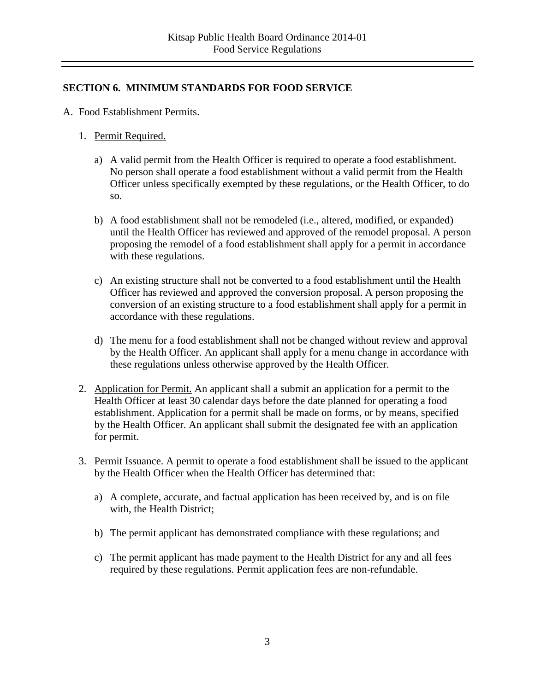### **SECTION 6. MINIMUM STANDARDS FOR FOOD SERVICE**

- A. Food Establishment Permits.
	- 1. Permit Required.
		- a) A valid permit from the Health Officer is required to operate a food establishment. No person shall operate a food establishment without a valid permit from the Health Officer unless specifically exempted by these regulations, or the Health Officer, to do so.
		- b) A food establishment shall not be remodeled (i.e., altered, modified, or expanded) until the Health Officer has reviewed and approved of the remodel proposal. A person proposing the remodel of a food establishment shall apply for a permit in accordance with these regulations.
		- c) An existing structure shall not be converted to a food establishment until the Health Officer has reviewed and approved the conversion proposal. A person proposing the conversion of an existing structure to a food establishment shall apply for a permit in accordance with these regulations.
		- d) The menu for a food establishment shall not be changed without review and approval by the Health Officer. An applicant shall apply for a menu change in accordance with these regulations unless otherwise approved by the Health Officer.
	- 2. Application for Permit. An applicant shall a submit an application for a permit to the Health Officer at least 30 calendar days before the date planned for operating a food establishment. Application for a permit shall be made on forms, or by means, specified by the Health Officer. An applicant shall submit the designated fee with an application for permit.
	- 3. Permit Issuance. A permit to operate a food establishment shall be issued to the applicant by the Health Officer when the Health Officer has determined that:
		- a) A complete, accurate, and factual application has been received by, and is on file with, the Health District;
		- b) The permit applicant has demonstrated compliance with these regulations; and
		- c) The permit applicant has made payment to the Health District for any and all fees required by these regulations. Permit application fees are non-refundable.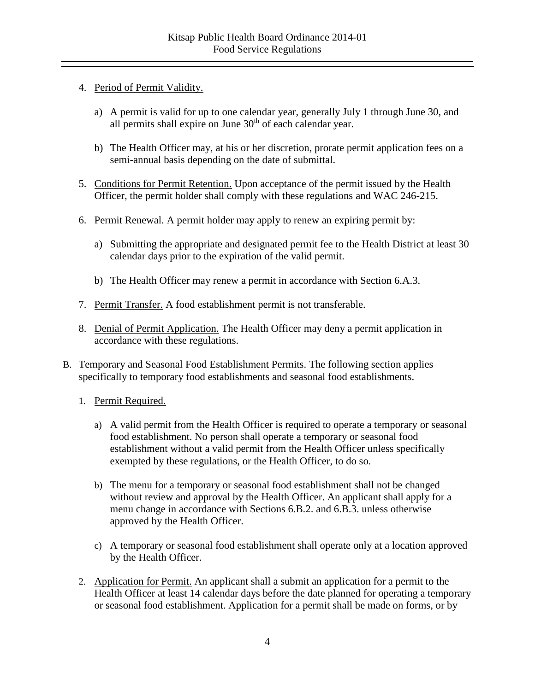- 4. Period of Permit Validity.
	- a) A permit is valid for up to one calendar year, generally July 1 through June 30, and all permits shall expire on June  $30<sup>th</sup>$  of each calendar year.
	- b) The Health Officer may, at his or her discretion, prorate permit application fees on a semi-annual basis depending on the date of submittal.
- 5. Conditions for Permit Retention. Upon acceptance of the permit issued by the Health Officer, the permit holder shall comply with these regulations and WAC 246-215.
- 6. Permit Renewal. A permit holder may apply to renew an expiring permit by:
	- a) Submitting the appropriate and designated permit fee to the Health District at least 30 calendar days prior to the expiration of the valid permit.
	- b) The Health Officer may renew a permit in accordance with Section 6.A.3.
- 7. Permit Transfer. A food establishment permit is not transferable.
- 8. Denial of Permit Application. The Health Officer may deny a permit application in accordance with these regulations.
- B. Temporary and Seasonal Food Establishment Permits. The following section applies specifically to temporary food establishments and seasonal food establishments.
	- 1. Permit Required.
		- a) A valid permit from the Health Officer is required to operate a temporary or seasonal food establishment. No person shall operate a temporary or seasonal food establishment without a valid permit from the Health Officer unless specifically exempted by these regulations, or the Health Officer, to do so.
		- b) The menu for a temporary or seasonal food establishment shall not be changed without review and approval by the Health Officer. An applicant shall apply for a menu change in accordance with Sections 6.B.2. and 6.B.3. unless otherwise approved by the Health Officer.
		- c) A temporary or seasonal food establishment shall operate only at a location approved by the Health Officer.
	- 2. Application for Permit. An applicant shall a submit an application for a permit to the Health Officer at least 14 calendar days before the date planned for operating a temporary or seasonal food establishment. Application for a permit shall be made on forms, or by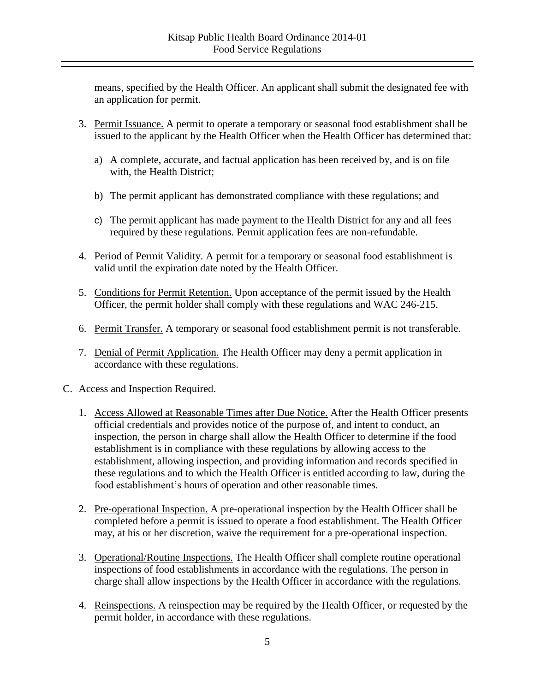means, specified by the Health Officer. An applicant shall submit the designated fee with an application for permit.

- 3. Permit Issuance. A permit to operate a temporary or seasonal food establishment shall be issued to the applicant by the Health Officer when the Health Officer has determined that:
	- a) A complete, accurate, and factual application has been received by, and is on file with, the Health District;
	- b) The permit applicant has demonstrated compliance with these regulations; and
	- c) The permit applicant has made payment to the Health District for any and all fees required by these regulations. Permit application fees are non-refundable.
- 4. Period of Permit Validity. A permit for a temporary or seasonal food establishment is valid until the expiration date noted by the Health Officer.
- 5. Conditions for Permit Retention. Upon acceptance of the permit issued by the Health Officer, the permit holder shall comply with these regulations and WAC 246-215.
- 6. Permit Transfer. A temporary or seasonal food establishment permit is not transferable.
- 7. Denial of Permit Application. The Health Officer may deny a permit application in accordance with these regulations.
- C. Access and Inspection Required.
	- 1. Access Allowed at Reasonable Times after Due Notice. After the Health Officer presents official credentials and provides notice of the purpose of, and intent to conduct, an inspection, the person in charge shall allow the Health Officer to determine if the food establishment is in compliance with these regulations by allowing access to the establishment, allowing inspection, and providing information and records specified in these regulations and to which the Health Officer is entitled according to law, during the food establishment's hours of operation and other reasonable times.
	- 2. Pre-operational Inspection. A pre-operational inspection by the Health Officer shall be completed before a permit is issued to operate a food establishment. The Health Officer may, at his or her discretion, waive the requirement for a pre-operational inspection.
	- 3. Operational/Routine Inspections. The Health Officer shall complete routine operational inspections of food establishments in accordance with the regulations. The person in charge shall allow inspections by the Health Officer in accordance with the regulations.
	- 4. Reinspections. A reinspection may be required by the Health Officer, or requested by the permit holder, in accordance with these regulations.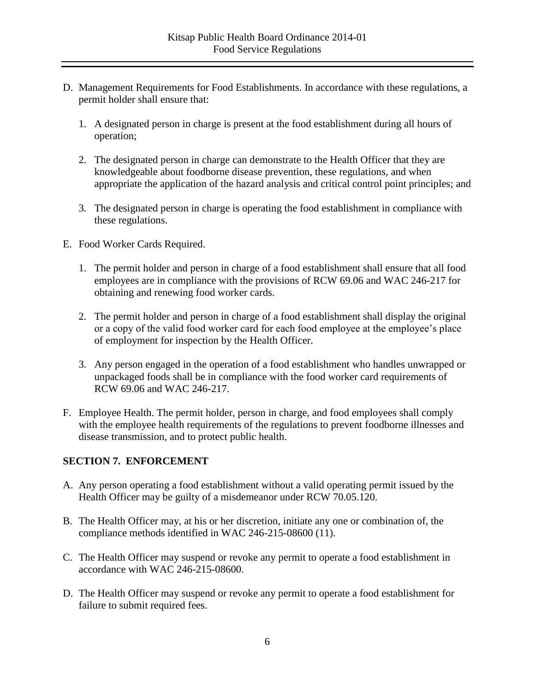- D. Management Requirements for Food Establishments. In accordance with these regulations, a permit holder shall ensure that:
	- 1. A designated person in charge is present at the food establishment during all hours of operation;
	- 2. The designated person in charge can demonstrate to the Health Officer that they are knowledgeable about foodborne disease prevention, these regulations, and when appropriate the application of the hazard analysis and critical control point principles; and
	- 3. The designated person in charge is operating the food establishment in compliance with these regulations.
- E. Food Worker Cards Required.
	- 1. The permit holder and person in charge of a food establishment shall ensure that all food employees are in compliance with the provisions of RCW 69.06 and WAC 246-217 for obtaining and renewing food worker cards.
	- 2. The permit holder and person in charge of a food establishment shall display the original or a copy of the valid food worker card for each food employee at the employee's place of employment for inspection by the Health Officer.
	- 3. Any person engaged in the operation of a food establishment who handles unwrapped or unpackaged foods shall be in compliance with the food worker card requirements of RCW 69.06 and WAC 246-217.
- F. Employee Health. The permit holder, person in charge, and food employees shall comply with the employee health requirements of the regulations to prevent foodborne illnesses and disease transmission, and to protect public health.

#### **SECTION 7. ENFORCEMENT**

- A. Any person operating a food establishment without a valid operating permit issued by the Health Officer may be guilty of a misdemeanor under RCW 70.05.120.
- B. The Health Officer may, at his or her discretion, initiate any one or combination of, the compliance methods identified in WAC 246-215-08600 (11).
- C. The Health Officer may suspend or revoke any permit to operate a food establishment in accordance with WAC 246-215-08600.
- D. The Health Officer may suspend or revoke any permit to operate a food establishment for failure to submit required fees.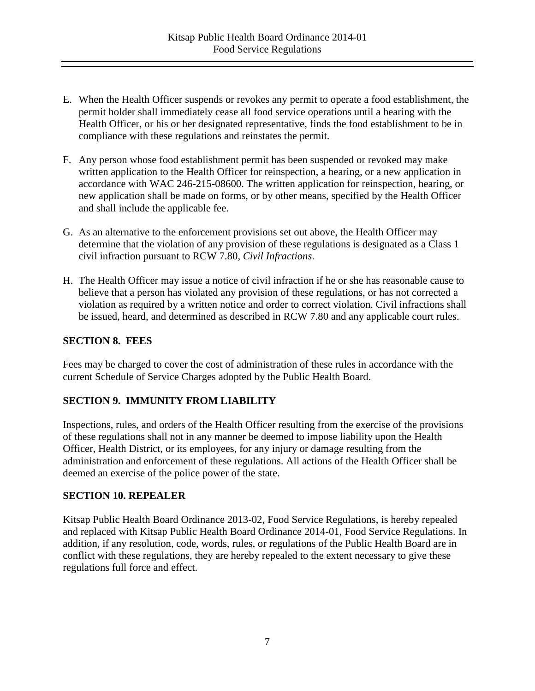- E. When the Health Officer suspends or revokes any permit to operate a food establishment, the permit holder shall immediately cease all food service operations until a hearing with the Health Officer, or his or her designated representative, finds the food establishment to be in compliance with these regulations and reinstates the permit.
- F. Any person whose food establishment permit has been suspended or revoked may make written application to the Health Officer for reinspection, a hearing, or a new application in accordance with WAC 246-215-08600. The written application for reinspection, hearing, or new application shall be made on forms, or by other means, specified by the Health Officer and shall include the applicable fee.
- G. As an alternative to the enforcement provisions set out above, the Health Officer may determine that the violation of any provision of these regulations is designated as a Class 1 civil infraction pursuant to RCW 7.80, *Civil Infractions*.
- H. The Health Officer may issue a notice of civil infraction if he or she has reasonable cause to believe that a person has violated any provision of these regulations, or has not corrected a violation as required by a written notice and order to correct violation. Civil infractions shall be issued, heard, and determined as described in RCW 7.80 and any applicable court rules.

#### **SECTION 8. FEES**

Fees may be charged to cover the cost of administration of these rules in accordance with the current Schedule of Service Charges adopted by the Public Health Board.

#### **SECTION 9. IMMUNITY FROM LIABILITY**

Inspections, rules, and orders of the Health Officer resulting from the exercise of the provisions of these regulations shall not in any manner be deemed to impose liability upon the Health Officer, Health District, or its employees, for any injury or damage resulting from the administration and enforcement of these regulations. All actions of the Health Officer shall be deemed an exercise of the police power of the state.

#### **SECTION 10. REPEALER**

Kitsap Public Health Board Ordinance 2013-02, Food Service Regulations, is hereby repealed and replaced with Kitsap Public Health Board Ordinance 2014-01, Food Service Regulations. In addition, if any resolution, code, words, rules, or regulations of the Public Health Board are in conflict with these regulations, they are hereby repealed to the extent necessary to give these regulations full force and effect.